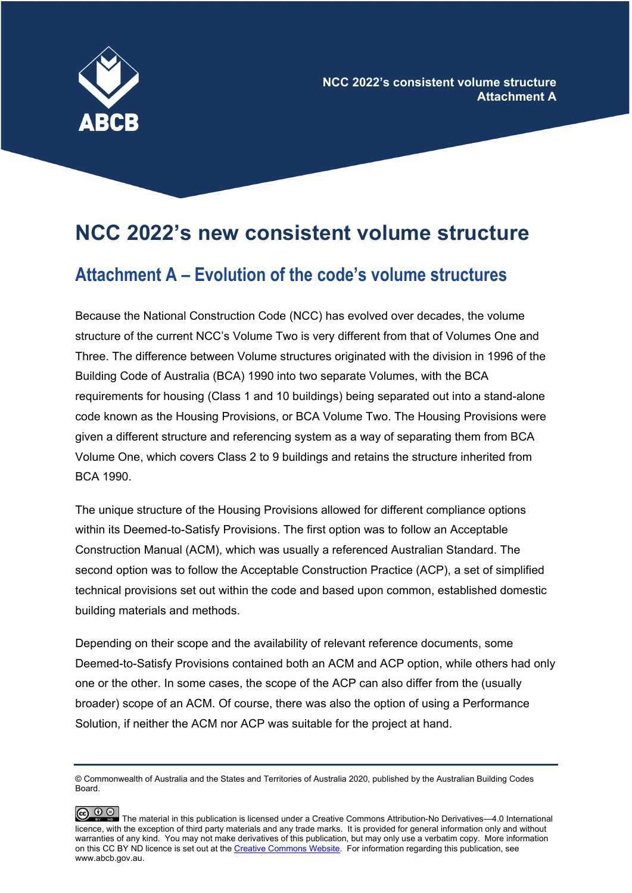

## **NCC 2022's new consistent volume structure**

## **Attachment A – Evolution of the code's volume structures**

Because the National Construction Code (NCC) has evolved over decades, the volume structure of the current NCC's Volume Two is very different from that of Volumes One and Three. The difference between Volume structures originated with the division in 1996 of the Building Code of Australia (BCA) 1990 into two separate Volumes, with the BCA requirements for housing (Class 1 and 10 buildings) being separated out into a stand-alone code known as the Housing Provisions, or BCA Volume Two. The Housing Provisions were given a different structure and referencing system as a way of separating them from BCA Volume One, which covers Class 2 to 9 buildings and retains the structure inherited from BCA 1990.

The unique structure of the Housing Provisions allowed for different compliance options within its Deemed-to-Satisfy Provisions. The first option was to follow an Acceptable Construction Manual (ACM), which was usually a referenced Australian Standard. The second option was to follow the Acceptable Construction Practice (ACP), a set of simplified technical provisions set out within the code and based upon common, established domestic building materials and methods.

Depending on their scope and the availability of relevant reference documents, some Deemed-to-Satisfy Provisions contained both an ACM and ACP option, while others had only one or the other. In some cases, the scope of the ACP can also differ from the (usually broader) scope of an ACM. Of course, there was also the option of using a Performance Solution, if neither the ACM nor ACP was suitable for the project at hand.

<sup>©</sup> Commonwealth of Australia and the States and Territories of Australia 2020, published by the Australian Building Codes Board.



CO  $\bigodot$  The material in this publication is licensed under a Creative Commons Attribution-No Derivatives—4.0 International licence, with the exception of third party materials and any trade marks. It is provided for general information only and without warranties of any kind. You may not make derivatives of this publication, but may only use a verbatim copy. More information on this CC BY ND licence is set out at th[e Creative Commons Website.](http://www.creativecommons.org/licenses/by/4.0) For information regarding this publication, see www.abcb.gov.au.